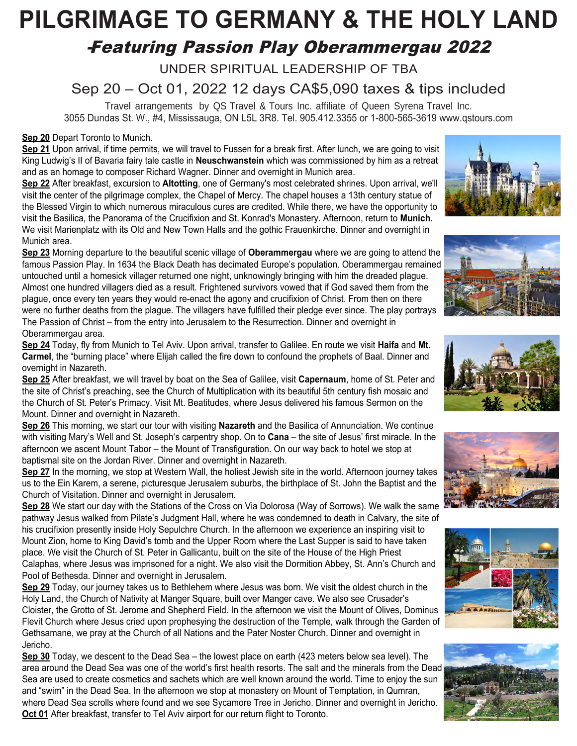# **PILGRIMAGE TO GERMANY & THE HOLY LAND**

## *-*Featuring Passion Play Oberammergau 2022

UNDER SPIRITUAL LEADERSHIP OF TBA

Sep 20 – Oct 01, 2022 12 days CA\$5,090 taxes & tips included

Travel arrangements by QS Travel & Tours Inc. affiliate of Queen Syrena Travel Inc. 3055 Dundas St. W., #4, Mississauga, ON L5L 3R8. Tel. 905.412.3355 or 1-800-565-3619 www.qstours.com

### **Sep 20** Depart Toronto to Munich.

**Sep 21** Upon arrival, if time permits, we will travel to Fussen for a break first. After lunch, we are going to visit King Ludwig's II of Bavaria fairy tale castle in **Neuschwanstein** which was commissioned by him as a retreat and as an homage to composer Richard Wagner. Dinner and overnight in Munich area.

**Sep 22** After breakfast, excursion to **Altotting**, one of Germany's most celebrated shrines. Upon arrival, we'll visit the center of the pilgrimage complex, the Chapel of Mercy. The chapel houses a 13th century statue of the Blessed Virgin to which numerous miraculous cures are credited. While there, we have the opportunity to visit the Basilica, the Panorama of the Crucifixion and St. Konrad's Monastery. Afternoon, return to **Munich**. We visit Marienplatz with its Old and New Town Halls and the gothic Frauenkirche. Dinner and overnight in Munich area.

**Sep 23** Morning departure to the beautiful scenic village of **Oberammergau** where we are going to attend the famous Passion Play. In 1634 the Black Death has decimated Europe's population. Oberammergau remained untouched until a homesick villager returned one night, unknowingly bringing with him the dreaded plague. Almost one hundred villagers died as a result. Frightened survivors vowed that if God saved them from the plague, once every ten years they would re-enact the agony and crucifixion of Christ. From then on there were no further deaths from the plague. The villagers have fulfilled their pledge ever since. The play portrays The Passion of Christ – from the entry into Jerusalem to the Resurrection. Dinner and overnight in Oberammergau area.

**Sep 24** Today, fly from Munich to Tel Aviv. Upon arrival, transfer to Galilee. En route we visit **Haifa** and **Mt. Carmel**, the "burning place" where Elijah called the fire down to confound the prophets of Baal. Dinner and overnight in Nazareth.











**Sep 25** After breakfast, we will travel by boat on the Sea of Galilee, visit **Capernaum**, home of St. Peter and the site of Christ's preaching, see the Church of Multiplication with its beautiful 5th century fish mosaic and the Church of St. Peter's Primacy. Visit Mt. Beatitudes, where Jesus delivered his famous Sermon on the Mount. Dinner and overnight in Nazareth.

**Sep 26** This morning, we start our tour with visiting **Nazareth** and the Basilica of Annunciation. We continue with visiting Mary's Well and St. Joseph's carpentry shop. On to **Cana** – the site of Jesus' first miracle. In the afternoon we ascent Mount Tabor – the Mount of Transfiguration. On our way back to hotel we stop at baptismal site on the Jordan River. Dinner and overnight in Nazareth.

**Sep 27** In the morning, we stop at Western Wall, the holiest Jewish site in the world. Afternoon journey takes us to the Ein Karem, a serene, picturesque Jerusalem suburbs, the birthplace of St. John the Baptist and the Church of Visitation. Dinner and overnight in Jerusalem.

**Sep 28** We start our day with the Stations of the Cross on Via Dolorosa (Way of Sorrows). We walk the same pathway Jesus walked from Pilate's Judgment Hall, where he was condemned to death in Calvary, the site of his crucifixion presently inside Holy Sepulchre Church. In the afternoon we experience an inspiring visit to Mount Zion, home to King David's tomb and the Upper Room where the Last Supper is said to have taken place. We visit the Church of St. Peter in Gallicantu, built on the site of the House of the High Priest Calaphas, where Jesus was imprisoned for a night. We also visit the Dormition Abbey, St. Ann's Church and Pool of Bethesda. Dinner and overnight in Jerusalem.

**Sep 29** Today, our journey takes us to Bethlehem where Jesus was born. We visit the oldest church in the Holy Land, the Church of Nativity at Manger Square, built over Manger cave. We also see Crusader's Cloister, the Grotto of St. Jerome and Shepherd Field. In the afternoon we visit the Mount of Olives, Dominus Flevit Church where Jesus cried upon prophesying the destruction of the Temple, walk through the Garden of Gethsamane, we pray at the Church of all Nations and the Pater Noster Church. Dinner and overnight in Jericho.

**Sep 30** Today, we descent to the Dead Sea – the lowest place on earth (423 meters below sea level). The area around the Dead Sea was one of the world's first health resorts. The salt and the minerals from the Dead Sea are used to create cosmetics and sachets which are well known around the world. Time to enjoy the sun and "swim" in the Dead Sea. In the afternoon we stop at monastery on Mount of Temptation, in Qumran, where Dead Sea scrolls where found and we see Sycamore Tree in Jericho. Dinner and overnight in Jericho. **Oct 01** After breakfast, transfer to Tel Aviv airport for our return flight to Toronto.